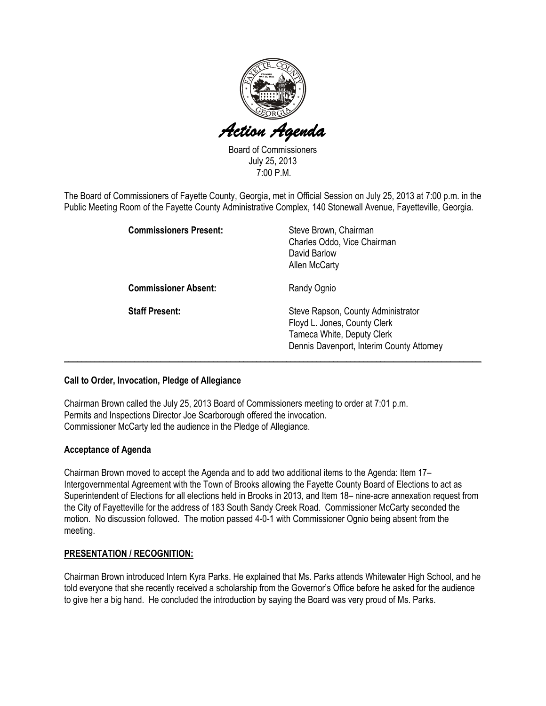

Board of Commissioners July 25, 2013 7:00 P.M.

The Board of Commissioners of Fayette County, Georgia, met in Official Session on July 25, 2013 at 7:00 p.m. in the Public Meeting Room of the Fayette County Administrative Complex, 140 Stonewall Avenue, Fayetteville, Georgia.

|                       | <b>Commissioners Present:</b> | Steve Brown, Chairman<br>Charles Oddo, Vice Chairman<br>David Barlow<br><b>Allen McCarty</b>                                                  |
|-----------------------|-------------------------------|-----------------------------------------------------------------------------------------------------------------------------------------------|
|                       | <b>Commissioner Absent:</b>   | Randy Ognio                                                                                                                                   |
| <b>Staff Present:</b> |                               | Steve Rapson, County Administrator<br>Floyd L. Jones, County Clerk<br>Tameca White, Deputy Clerk<br>Dennis Davenport, Interim County Attorney |

### Call to Order, Invocation, Pledge of Allegiance

Chairman Brown called the July 25, 2013 Board of Commissioners meeting to order at 7:01 p.m. Permits and Inspections Director Joe Scarborough offered the invocation. Commissioner McCarty led the audience in the Pledge of Allegiance.

### Acceptance of Agenda

Chairman Brown moved to accept the Agenda and to add two additional items to the Agenda: Item 17– Intergovernmental Agreement with the Town of Brooks allowing the Fayette County Board of Elections to act as Superintendent of Elections for all elections held in Brooks in 2013, and Item 18– nine-acre annexation request from the City of Fayetteville for the address of 183 South Sandy Creek Road. Commissioner McCarty seconded the motion. No discussion followed. The motion passed 4-0-1 with Commissioner Ognio being absent from the meeting.

### PRESENTATION / RECOGNITION:

Chairman Brown introduced Intern Kyra Parks. He explained that Ms. Parks attends Whitewater High School, and he told everyone that she recently received a scholarship from the Governor's Office before he asked for the audience to give her a big hand. He concluded the introduction by saying the Board was very proud of Ms. Parks.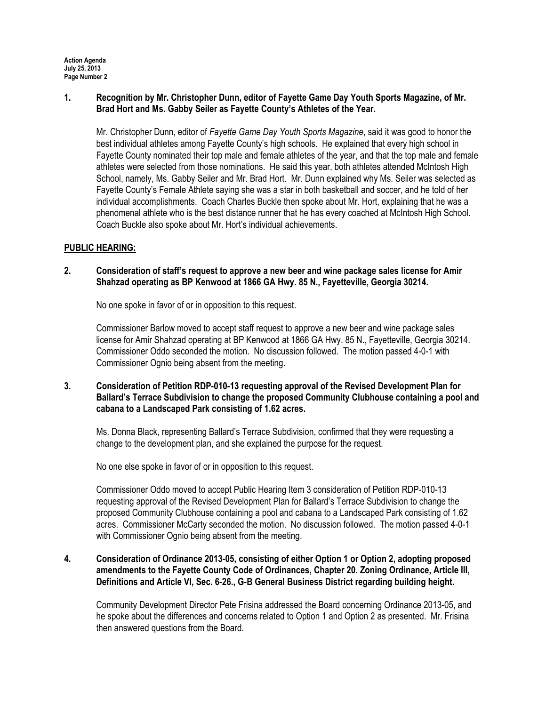## 1. Recognition by Mr. Christopher Dunn, editor of Fayette Game Day Youth Sports Magazine, of Mr. Brad Hort and Ms. Gabby Seiler as Fayette County's Athletes of the Year.

Mr. Christopher Dunn, editor of Fayette Game Day Youth Sports Magazine, said it was good to honor the best individual athletes among Fayette County's high schools. He explained that every high school in Fayette County nominated their top male and female athletes of the year, and that the top male and female athletes were selected from those nominations. He said this year, both athletes attended McIntosh High School, namely, Ms. Gabby Seiler and Mr. Brad Hort. Mr. Dunn explained why Ms. Seiler was selected as Fayette County's Female Athlete saying she was a star in both basketball and soccer, and he told of her individual accomplishments. Coach Charles Buckle then spoke about Mr. Hort, explaining that he was a phenomenal athlete who is the best distance runner that he has every coached at McIntosh High School. Coach Buckle also spoke about Mr. Hort's individual achievements.

## PUBLIC HEARING:

## 2. Consideration of staff's request to approve a new beer and wine package sales license for Amir Shahzad operating as BP Kenwood at 1866 GA Hwy. 85 N., Fayetteville, Georgia 30214.

No one spoke in favor of or in opposition to this request.

Commissioner Barlow moved to accept staff request to approve a new beer and wine package sales license for Amir Shahzad operating at BP Kenwood at 1866 GA Hwy. 85 N., Fayetteville, Georgia 30214. Commissioner Oddo seconded the motion. No discussion followed. The motion passed 4-0-1 with Commissioner Ognio being absent from the meeting.

## 3. Consideration of Petition RDP-010-13 requesting approval of the Revised Development Plan for Ballard's Terrace Subdivision to change the proposed Community Clubhouse containing a pool and cabana to a Landscaped Park consisting of 1.62 acres.

Ms. Donna Black, representing Ballard's Terrace Subdivision, confirmed that they were requesting a change to the development plan, and she explained the purpose for the request.

No one else spoke in favor of or in opposition to this request.

Commissioner Oddo moved to accept Public Hearing Item 3 consideration of Petition RDP-010-13 requesting approval of the Revised Development Plan for Ballard's Terrace Subdivision to change the proposed Community Clubhouse containing a pool and cabana to a Landscaped Park consisting of 1.62 acres. Commissioner McCarty seconded the motion. No discussion followed. The motion passed 4-0-1 with Commissioner Ognio being absent from the meeting.

# 4. Consideration of Ordinance 2013-05, consisting of either Option 1 or Option 2, adopting proposed amendments to the Fayette County Code of Ordinances, Chapter 20. Zoning Ordinance, Article III, Definitions and Article VI, Sec. 6-26., G-B General Business District regarding building height.

Community Development Director Pete Frisina addressed the Board concerning Ordinance 2013-05, and he spoke about the differences and concerns related to Option 1 and Option 2 as presented. Mr. Frisina then answered questions from the Board.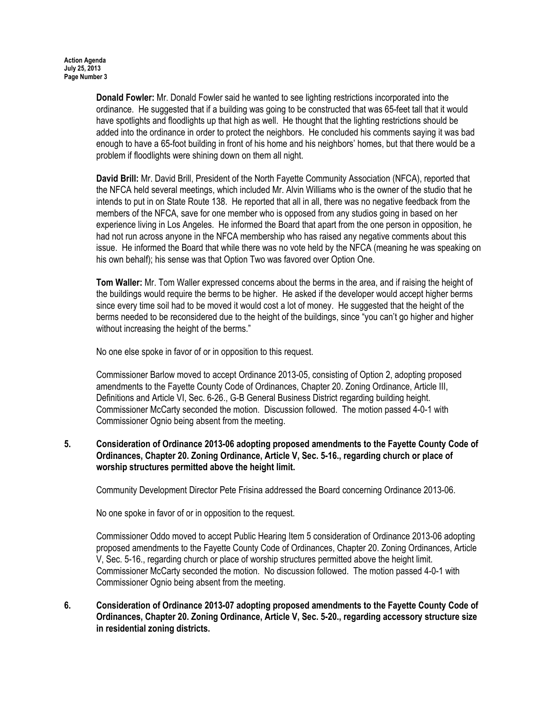Donald Fowler: Mr. Donald Fowler said he wanted to see lighting restrictions incorporated into the ordinance. He suggested that if a building was going to be constructed that was 65-feet tall that it would have spotlights and floodlights up that high as well. He thought that the lighting restrictions should be added into the ordinance in order to protect the neighbors. He concluded his comments saying it was bad enough to have a 65-foot building in front of his home and his neighbors' homes, but that there would be a problem if floodlights were shining down on them all night.

David Brill: Mr. David Brill, President of the North Fayette Community Association (NFCA), reported that the NFCA held several meetings, which included Mr. Alvin Williams who is the owner of the studio that he intends to put in on State Route 138. He reported that all in all, there was no negative feedback from the members of the NFCA, save for one member who is opposed from any studios going in based on her experience living in Los Angeles. He informed the Board that apart from the one person in opposition, he had not run across anyone in the NFCA membership who has raised any negative comments about this issue. He informed the Board that while there was no vote held by the NFCA (meaning he was speaking on his own behalf); his sense was that Option Two was favored over Option One.

Tom Waller: Mr. Tom Waller expressed concerns about the berms in the area, and if raising the height of the buildings would require the berms to be higher. He asked if the developer would accept higher berms since every time soil had to be moved it would cost a lot of money. He suggested that the height of the berms needed to be reconsidered due to the height of the buildings, since "you can't go higher and higher without increasing the height of the berms."

No one else spoke in favor of or in opposition to this request.

Commissioner Barlow moved to accept Ordinance 2013-05, consisting of Option 2, adopting proposed amendments to the Fayette County Code of Ordinances, Chapter 20. Zoning Ordinance, Article III, Definitions and Article VI, Sec. 6-26., G-B General Business District regarding building height. Commissioner McCarty seconded the motion. Discussion followed. The motion passed 4-0-1 with Commissioner Ognio being absent from the meeting.

# 5. Consideration of Ordinance 2013-06 adopting proposed amendments to the Fayette County Code of Ordinances, Chapter 20. Zoning Ordinance, Article V, Sec. 5-16., regarding church or place of worship structures permitted above the height limit.

Community Development Director Pete Frisina addressed the Board concerning Ordinance 2013-06.

No one spoke in favor of or in opposition to the request.

Commissioner Oddo moved to accept Public Hearing Item 5 consideration of Ordinance 2013-06 adopting proposed amendments to the Fayette County Code of Ordinances, Chapter 20. Zoning Ordinances, Article V, Sec. 5-16., regarding church or place of worship structures permitted above the height limit. Commissioner McCarty seconded the motion. No discussion followed. The motion passed 4-0-1 with Commissioner Ognio being absent from the meeting.

6. Consideration of Ordinance 2013-07 adopting proposed amendments to the Fayette County Code of Ordinances, Chapter 20. Zoning Ordinance, Article V, Sec. 5-20., regarding accessory structure size in residential zoning districts.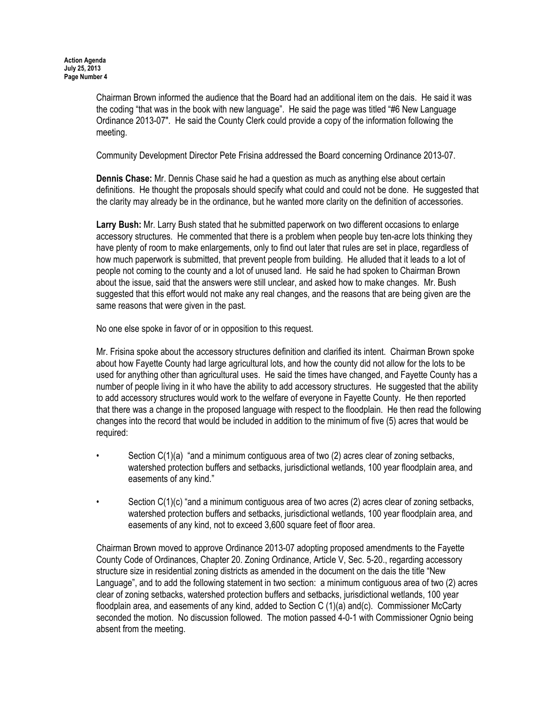Chairman Brown informed the audience that the Board had an additional item on the dais. He said it was the coding "that was in the book with new language". He said the page was titled "#6 New Language Ordinance 2013-07". He said the County Clerk could provide a copy of the information following the meeting.

Community Development Director Pete Frisina addressed the Board concerning Ordinance 2013-07.

Dennis Chase: Mr. Dennis Chase said he had a question as much as anything else about certain definitions. He thought the proposals should specify what could and could not be done. He suggested that the clarity may already be in the ordinance, but he wanted more clarity on the definition of accessories.

Larry Bush: Mr. Larry Bush stated that he submitted paperwork on two different occasions to enlarge accessory structures. He commented that there is a problem when people buy ten-acre lots thinking they have plenty of room to make enlargements, only to find out later that rules are set in place, regardless of how much paperwork is submitted, that prevent people from building. He alluded that it leads to a lot of people not coming to the county and a lot of unused land. He said he had spoken to Chairman Brown about the issue, said that the answers were still unclear, and asked how to make changes. Mr. Bush suggested that this effort would not make any real changes, and the reasons that are being given are the same reasons that were given in the past.

No one else spoke in favor of or in opposition to this request.

Mr. Frisina spoke about the accessory structures definition and clarified its intent. Chairman Brown spoke about how Fayette County had large agricultural lots, and how the county did not allow for the lots to be used for anything other than agricultural uses. He said the times have changed, and Fayette County has a number of people living in it who have the ability to add accessory structures. He suggested that the ability to add accessory structures would work to the welfare of everyone in Fayette County. He then reported that there was a change in the proposed language with respect to the floodplain. He then read the following changes into the record that would be included in addition to the minimum of five (5) acres that would be required:

- Section C(1)(a) "and a minimum contiguous area of two (2) acres clear of zoning setbacks, watershed protection buffers and setbacks, jurisdictional wetlands, 100 year floodplain area, and easements of any kind."
- Section C(1)(c) "and a minimum contiguous area of two acres (2) acres clear of zoning setbacks, watershed protection buffers and setbacks, jurisdictional wetlands, 100 year floodplain area, and easements of any kind, not to exceed 3,600 square feet of floor area.

Chairman Brown moved to approve Ordinance 2013-07 adopting proposed amendments to the Fayette County Code of Ordinances, Chapter 20. Zoning Ordinance, Article V, Sec. 5-20., regarding accessory structure size in residential zoning districts as amended in the document on the dais the title "New Language", and to add the following statement in two section: a minimum contiguous area of two (2) acres clear of zoning setbacks, watershed protection buffers and setbacks, jurisdictional wetlands, 100 year floodplain area, and easements of any kind, added to Section C (1)(a) and(c). Commissioner McCarty seconded the motion. No discussion followed. The motion passed 4-0-1 with Commissioner Ognio being absent from the meeting.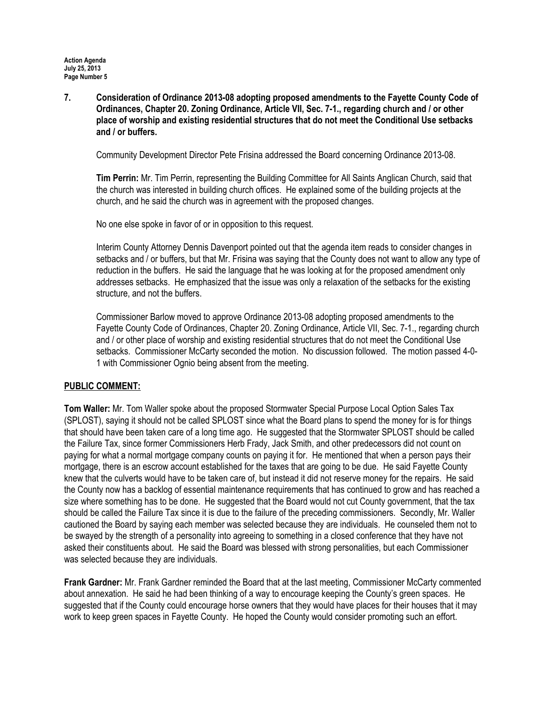7. Consideration of Ordinance 2013-08 adopting proposed amendments to the Fayette County Code of Ordinances, Chapter 20. Zoning Ordinance, Article VII, Sec. 7-1., regarding church and / or other place of worship and existing residential structures that do not meet the Conditional Use setbacks and / or buffers.

Community Development Director Pete Frisina addressed the Board concerning Ordinance 2013-08.

Tim Perrin: Mr. Tim Perrin, representing the Building Committee for All Saints Anglican Church, said that the church was interested in building church offices. He explained some of the building projects at the church, and he said the church was in agreement with the proposed changes.

No one else spoke in favor of or in opposition to this request.

Interim County Attorney Dennis Davenport pointed out that the agenda item reads to consider changes in setbacks and / or buffers, but that Mr. Frisina was saying that the County does not want to allow any type of reduction in the buffers. He said the language that he was looking at for the proposed amendment only addresses setbacks. He emphasized that the issue was only a relaxation of the setbacks for the existing structure, and not the buffers.

Commissioner Barlow moved to approve Ordinance 2013-08 adopting proposed amendments to the Fayette County Code of Ordinances, Chapter 20. Zoning Ordinance, Article VII, Sec. 7-1., regarding church and / or other place of worship and existing residential structures that do not meet the Conditional Use setbacks. Commissioner McCarty seconded the motion. No discussion followed. The motion passed 4-0- 1 with Commissioner Ognio being absent from the meeting.

### PUBLIC COMMENT:

Tom Waller: Mr. Tom Waller spoke about the proposed Stormwater Special Purpose Local Option Sales Tax (SPLOST), saying it should not be called SPLOST since what the Board plans to spend the money for is for things that should have been taken care of a long time ago. He suggested that the Stormwater SPLOST should be called the Failure Tax, since former Commissioners Herb Frady, Jack Smith, and other predecessors did not count on paying for what a normal mortgage company counts on paying it for. He mentioned that when a person pays their mortgage, there is an escrow account established for the taxes that are going to be due. He said Fayette County knew that the culverts would have to be taken care of, but instead it did not reserve money for the repairs. He said the County now has a backlog of essential maintenance requirements that has continued to grow and has reached a size where something has to be done. He suggested that the Board would not cut County government, that the tax should be called the Failure Tax since it is due to the failure of the preceding commissioners. Secondly, Mr. Waller cautioned the Board by saying each member was selected because they are individuals. He counseled them not to be swayed by the strength of a personality into agreeing to something in a closed conference that they have not asked their constituents about. He said the Board was blessed with strong personalities, but each Commissioner was selected because they are individuals.

Frank Gardner: Mr. Frank Gardner reminded the Board that at the last meeting, Commissioner McCarty commented about annexation. He said he had been thinking of a way to encourage keeping the County's green spaces. He suggested that if the County could encourage horse owners that they would have places for their houses that it may work to keep green spaces in Fayette County. He hoped the County would consider promoting such an effort.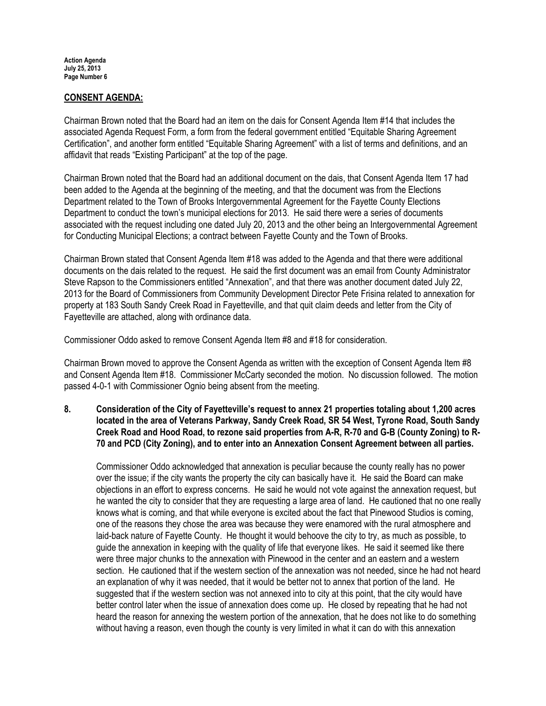## CONSENT AGENDA:

Chairman Brown noted that the Board had an item on the dais for Consent Agenda Item #14 that includes the associated Agenda Request Form, a form from the federal government entitled "Equitable Sharing Agreement Certification", and another form entitled "Equitable Sharing Agreement" with a list of terms and definitions, and an affidavit that reads "Existing Participant" at the top of the page.

Chairman Brown noted that the Board had an additional document on the dais, that Consent Agenda Item 17 had been added to the Agenda at the beginning of the meeting, and that the document was from the Elections Department related to the Town of Brooks Intergovernmental Agreement for the Fayette County Elections Department to conduct the town's municipal elections for 2013. He said there were a series of documents associated with the request including one dated July 20, 2013 and the other being an Intergovernmental Agreement for Conducting Municipal Elections; a contract between Fayette County and the Town of Brooks.

Chairman Brown stated that Consent Agenda Item #18 was added to the Agenda and that there were additional documents on the dais related to the request. He said the first document was an email from County Administrator Steve Rapson to the Commissioners entitled "Annexation", and that there was another document dated July 22, 2013 for the Board of Commissioners from Community Development Director Pete Frisina related to annexation for property at 183 South Sandy Creek Road in Fayetteville, and that quit claim deeds and letter from the City of Fayetteville are attached, along with ordinance data.

Commissioner Oddo asked to remove Consent Agenda Item #8 and #18 for consideration.

Chairman Brown moved to approve the Consent Agenda as written with the exception of Consent Agenda Item #8 and Consent Agenda Item #18. Commissioner McCarty seconded the motion. No discussion followed. The motion passed 4-0-1 with Commissioner Ognio being absent from the meeting.

8. Consideration of the City of Fayetteville's request to annex 21 properties totaling about 1,200 acres located in the area of Veterans Parkway, Sandy Creek Road, SR 54 West, Tyrone Road, South Sandy Creek Road and Hood Road, to rezone said properties from A-R, R-70 and G-B (County Zoning) to R-70 and PCD (City Zoning), and to enter into an Annexation Consent Agreement between all parties.

Commissioner Oddo acknowledged that annexation is peculiar because the county really has no power over the issue; if the city wants the property the city can basically have it. He said the Board can make objections in an effort to express concerns. He said he would not vote against the annexation request, but he wanted the city to consider that they are requesting a large area of land. He cautioned that no one really knows what is coming, and that while everyone is excited about the fact that Pinewood Studios is coming, one of the reasons they chose the area was because they were enamored with the rural atmosphere and laid-back nature of Fayette County. He thought it would behoove the city to try, as much as possible, to guide the annexation in keeping with the quality of life that everyone likes. He said it seemed like there were three major chunks to the annexation with Pinewood in the center and an eastern and a western section. He cautioned that if the western section of the annexation was not needed, since he had not heard an explanation of why it was needed, that it would be better not to annex that portion of the land. He suggested that if the western section was not annexed into to city at this point, that the city would have better control later when the issue of annexation does come up. He closed by repeating that he had not heard the reason for annexing the western portion of the annexation, that he does not like to do something without having a reason, even though the county is very limited in what it can do with this annexation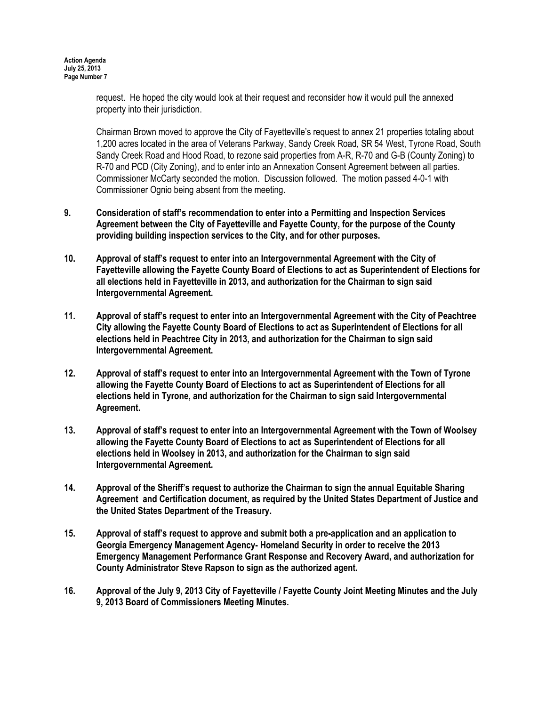request. He hoped the city would look at their request and reconsider how it would pull the annexed property into their jurisdiction.

Chairman Brown moved to approve the City of Fayetteville's request to annex 21 properties totaling about 1,200 acres located in the area of Veterans Parkway, Sandy Creek Road, SR 54 West, Tyrone Road, South Sandy Creek Road and Hood Road, to rezone said properties from A-R, R-70 and G-B (County Zoning) to R-70 and PCD (City Zoning), and to enter into an Annexation Consent Agreement between all parties. Commissioner McCarty seconded the motion. Discussion followed. The motion passed 4-0-1 with Commissioner Ognio being absent from the meeting.

- 9. Consideration of staff's recommendation to enter into a Permitting and Inspection Services Agreement between the City of Fayetteville and Fayette County, for the purpose of the County providing building inspection services to the City, and for other purposes.
- 10. Approval of staff's request to enter into an Intergovernmental Agreement with the City of Fayetteville allowing the Fayette County Board of Elections to act as Superintendent of Elections for all elections held in Fayetteville in 2013, and authorization for the Chairman to sign said Intergovernmental Agreement.
- 11. Approval of staff's request to enter into an Intergovernmental Agreement with the City of Peachtree City allowing the Fayette County Board of Elections to act as Superintendent of Elections for all elections held in Peachtree City in 2013, and authorization for the Chairman to sign said Intergovernmental Agreement.
- 12. Approval of staff's request to enter into an Intergovernmental Agreement with the Town of Tyrone allowing the Fayette County Board of Elections to act as Superintendent of Elections for all elections held in Tyrone, and authorization for the Chairman to sign said Intergovernmental Agreement.
- 13. Approval of staff's request to enter into an Intergovernmental Agreement with the Town of Woolsey allowing the Fayette County Board of Elections to act as Superintendent of Elections for all elections held in Woolsey in 2013, and authorization for the Chairman to sign said Intergovernmental Agreement.
- 14. Approval of the Sheriff's request to authorize the Chairman to sign the annual Equitable Sharing Agreement and Certification document, as required by the United States Department of Justice and the United States Department of the Treasury.
- 15. Approval of staff's request to approve and submit both a pre-application and an application to Georgia Emergency Management Agency- Homeland Security in order to receive the 2013 Emergency Management Performance Grant Response and Recovery Award, and authorization for County Administrator Steve Rapson to sign as the authorized agent.
- 16. Approval of the July 9, 2013 City of Fayetteville / Fayette County Joint Meeting Minutes and the July 9, 2013 Board of Commissioners Meeting Minutes.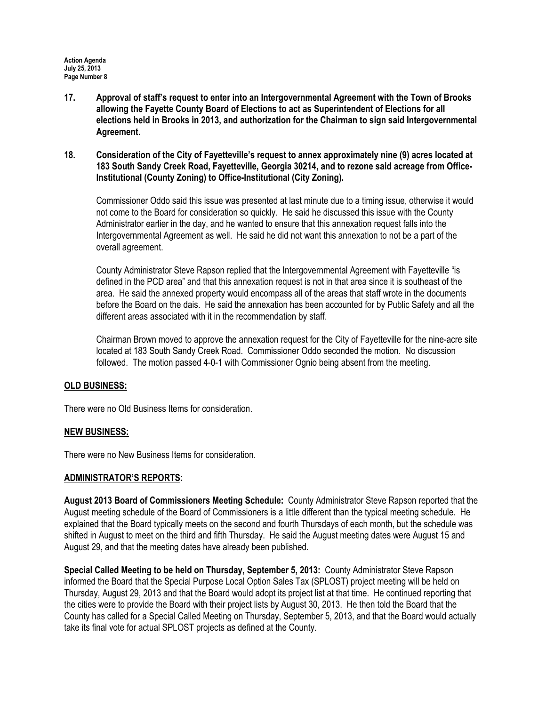- 17. Approval of staff's request to enter into an Intergovernmental Agreement with the Town of Brooks allowing the Fayette County Board of Elections to act as Superintendent of Elections for all elections held in Brooks in 2013, and authorization for the Chairman to sign said Intergovernmental Agreement.
- 18. Consideration of the City of Fayetteville's request to annex approximately nine (9) acres located at 183 South Sandy Creek Road, Fayetteville, Georgia 30214, and to rezone said acreage from Office-Institutional (County Zoning) to Office-Institutional (City Zoning).

Commissioner Oddo said this issue was presented at last minute due to a timing issue, otherwise it would not come to the Board for consideration so quickly. He said he discussed this issue with the County Administrator earlier in the day, and he wanted to ensure that this annexation request falls into the Intergovernmental Agreement as well. He said he did not want this annexation to not be a part of the overall agreement.

County Administrator Steve Rapson replied that the Intergovernmental Agreement with Fayetteville "is defined in the PCD area" and that this annexation request is not in that area since it is southeast of the area. He said the annexed property would encompass all of the areas that staff wrote in the documents before the Board on the dais. He said the annexation has been accounted for by Public Safety and all the different areas associated with it in the recommendation by staff.

Chairman Brown moved to approve the annexation request for the City of Fayetteville for the nine-acre site located at 183 South Sandy Creek Road. Commissioner Oddo seconded the motion. No discussion followed. The motion passed 4-0-1 with Commissioner Ognio being absent from the meeting.

### OLD BUSINESS:

There were no Old Business Items for consideration.

### NEW BUSINESS:

There were no New Business Items for consideration.

### ADMINISTRATOR'S REPORTS:

August 2013 Board of Commissioners Meeting Schedule: County Administrator Steve Rapson reported that the August meeting schedule of the Board of Commissioners is a little different than the typical meeting schedule. He explained that the Board typically meets on the second and fourth Thursdays of each month, but the schedule was shifted in August to meet on the third and fifth Thursday. He said the August meeting dates were August 15 and August 29, and that the meeting dates have already been published.

Special Called Meeting to be held on Thursday, September 5, 2013: County Administrator Steve Rapson informed the Board that the Special Purpose Local Option Sales Tax (SPLOST) project meeting will be held on Thursday, August 29, 2013 and that the Board would adopt its project list at that time. He continued reporting that the cities were to provide the Board with their project lists by August 30, 2013. He then told the Board that the County has called for a Special Called Meeting on Thursday, September 5, 2013, and that the Board would actually take its final vote for actual SPLOST projects as defined at the County.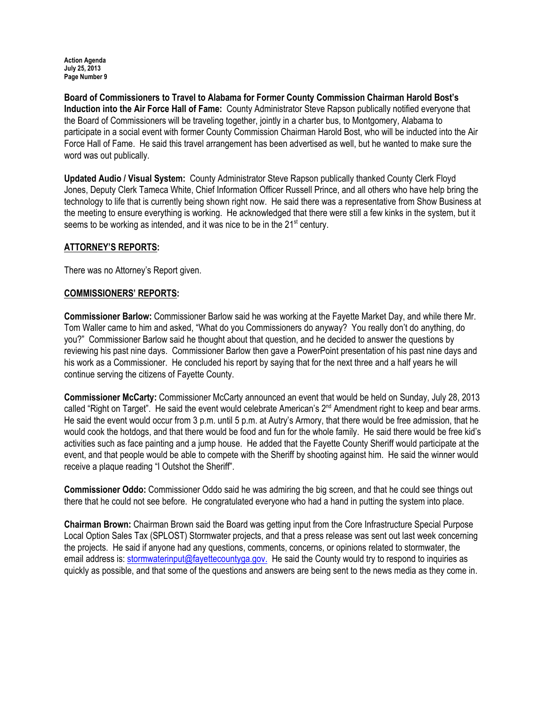Board of Commissioners to Travel to Alabama for Former County Commission Chairman Harold Bost's Induction into the Air Force Hall of Fame: County Administrator Steve Rapson publically notified everyone that the Board of Commissioners will be traveling together, jointly in a charter bus, to Montgomery, Alabama to participate in a social event with former County Commission Chairman Harold Bost, who will be inducted into the Air Force Hall of Fame. He said this travel arrangement has been advertised as well, but he wanted to make sure the word was out publically.

Updated Audio / Visual System: County Administrator Steve Rapson publically thanked County Clerk Floyd Jones, Deputy Clerk Tameca White, Chief Information Officer Russell Prince, and all others who have help bring the technology to life that is currently being shown right now. He said there was a representative from Show Business at the meeting to ensure everything is working. He acknowledged that there were still a few kinks in the system, but it seems to be working as intended, and it was nice to be in the 21<sup>st</sup> century.

# ATTORNEY'S REPORTS:

There was no Attorney's Report given.

### COMMISSIONERS' REPORTS:

Commissioner Barlow: Commissioner Barlow said he was working at the Fayette Market Day, and while there Mr. Tom Waller came to him and asked, "What do you Commissioners do anyway? You really don't do anything, do you?" Commissioner Barlow said he thought about that question, and he decided to answer the questions by reviewing his past nine days. Commissioner Barlow then gave a PowerPoint presentation of his past nine days and his work as a Commissioner. He concluded his report by saying that for the next three and a half years he will continue serving the citizens of Fayette County.

Commissioner McCarty: Commissioner McCarty announced an event that would be held on Sunday, July 28, 2013 called "Right on Target". He said the event would celebrate American's 2<sup>nd</sup> Amendment right to keep and bear arms. He said the event would occur from 3 p.m. until 5 p.m. at Autry's Armory, that there would be free admission, that he would cook the hotdogs, and that there would be food and fun for the whole family. He said there would be free kid's activities such as face painting and a jump house. He added that the Fayette County Sheriff would participate at the event, and that people would be able to compete with the Sheriff by shooting against him. He said the winner would receive a plaque reading "I Outshot the Sheriff".

Commissioner Oddo: Commissioner Oddo said he was admiring the big screen, and that he could see things out there that he could not see before. He congratulated everyone who had a hand in putting the system into place.

Chairman Brown: Chairman Brown said the Board was getting input from the Core Infrastructure Special Purpose Local Option Sales Tax (SPLOST) Stormwater projects, and that a press release was sent out last week concerning the projects. He said if anyone had any questions, comments, concerns, or opinions related to stormwater, the email address is: stormwaterinput@fayettecountyga.gov. He said the County would try to respond to inquiries as quickly as possible, and that some of the questions and answers are being sent to the news media as they come in.